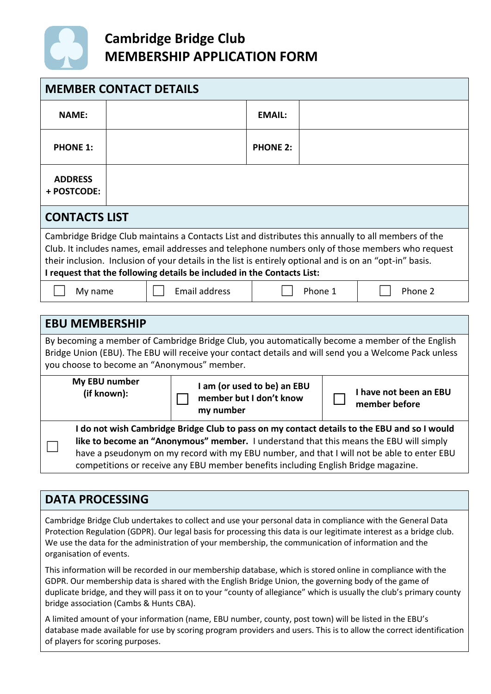

| <b>MEMBER CONTACT DETAILS</b>                                                                                                                                                                                                                                                                                                                                                                 |  |  |                                                                     |  |                 |  |                                         |  |         |
|-----------------------------------------------------------------------------------------------------------------------------------------------------------------------------------------------------------------------------------------------------------------------------------------------------------------------------------------------------------------------------------------------|--|--|---------------------------------------------------------------------|--|-----------------|--|-----------------------------------------|--|---------|
| <b>NAME:</b>                                                                                                                                                                                                                                                                                                                                                                                  |  |  |                                                                     |  | <b>EMAIL:</b>   |  |                                         |  |         |
| <b>PHONE 1:</b>                                                                                                                                                                                                                                                                                                                                                                               |  |  |                                                                     |  | <b>PHONE 2:</b> |  |                                         |  |         |
| <b>ADDRESS</b><br>+ POSTCODE:                                                                                                                                                                                                                                                                                                                                                                 |  |  |                                                                     |  |                 |  |                                         |  |         |
| <b>CONTACTS LIST</b>                                                                                                                                                                                                                                                                                                                                                                          |  |  |                                                                     |  |                 |  |                                         |  |         |
| Cambridge Bridge Club maintains a Contacts List and distributes this annually to all members of the<br>Club. It includes names, email addresses and telephone numbers only of those members who request<br>their inclusion. Inclusion of your details in the list is entirely optional and is on an "opt-in" basis.<br>I request that the following details be included in the Contacts List: |  |  |                                                                     |  |                 |  |                                         |  |         |
| My name                                                                                                                                                                                                                                                                                                                                                                                       |  |  | <b>Email address</b>                                                |  | Phone 1         |  |                                         |  | Phone 2 |
| <b>EBU MEMBERSHIP</b>                                                                                                                                                                                                                                                                                                                                                                         |  |  |                                                                     |  |                 |  |                                         |  |         |
| By becoming a member of Cambridge Bridge Club, you automatically become a member of the English<br>Bridge Union (EBU). The EBU will receive your contact details and will send you a Welcome Pack unless<br>you choose to become an "Anonymous" member.                                                                                                                                       |  |  |                                                                     |  |                 |  |                                         |  |         |
| My EBU number<br>(if known):                                                                                                                                                                                                                                                                                                                                                                  |  |  | I am (or used to be) an EBU<br>member but I don't know<br>my number |  |                 |  | I have not been an EBU<br>member before |  |         |
| I do not wish Cambridge Bridge Club to pass on my contact details to the EBU and so I would<br>like to become an "Anonymous" member. I understand that this means the EBU will simply<br>have a pseudonym on my record with my EBU number, and that I will not be able to enter EBU<br>competitions or receive any EBU member benefits including English Bridge magazine.                     |  |  |                                                                     |  |                 |  |                                         |  |         |

### **DATA PROCESSING**

Cambridge Bridge Club undertakes to collect and use your personal data in compliance with the General Data Protection Regulation (GDPR). Our legal basis for processing this data is our legitimate interest as a bridge club. We use the data for the administration of your membership, the communication of information and the organisation of events.

This information will be recorded in our membership database, which is stored online in compliance with the GDPR. Our membership data is shared with the English Bridge Union, the governing body of the game of duplicate bridge, and they will pass it on to your "county of allegiance" which is usually the club's primary county bridge association (Cambs & Hunts CBA).

A limited amount of your information (name, EBU number, county, post town) will be listed in the EBU's database made available for use by scoring program providers and users. This is to allow the correct identification of players for scoring purposes.